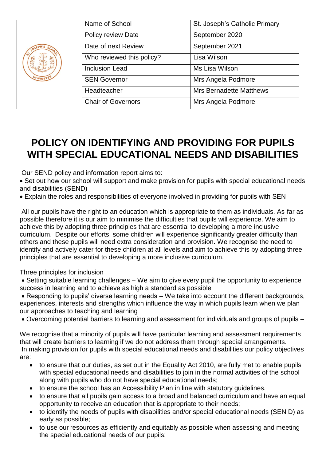| $s_{\mathcal{C}}$<br>UPMINSTER | Name of School            | St. Joseph's Catholic Primary  |
|--------------------------------|---------------------------|--------------------------------|
|                                | Policy review Date        | September 2020                 |
|                                | Date of next Review       | September 2021                 |
|                                | Who reviewed this policy? | Lisa Wilson                    |
|                                | <b>Inclusion Lead</b>     | Ms Lisa Wilson                 |
|                                | <b>SEN Governor</b>       | Mrs Angela Podmore             |
|                                | Headteacher               | <b>Mrs Bernadette Matthews</b> |
|                                | <b>Chair of Governors</b> | Mrs Angela Podmore             |

# **POLICY ON IDENTIFYING AND PROVIDING FOR PUPILS WITH SPECIAL EDUCATIONAL NEEDS AND DISABILITIES**

Our SEND policy and information report aims to:

• Set out how our school will support and make provision for pupils with special educational needs and disabilities (SEND)

Explain the roles and responsibilities of everyone involved in providing for pupils with SEN

All our pupils have the right to an education which is appropriate to them as individuals. As far as possible therefore it is our aim to minimise the difficulties that pupils will experience. We aim to achieve this by adopting three principles that are essential to developing a more inclusive curriculum. Despite our efforts, some children will experience significantly greater difficulty than others and these pupils will need extra consideration and provision. We recognise the need to identify and actively cater for these children at all levels and aim to achieve this by adopting three principles that are essential to developing a more inclusive curriculum.

Three principles for inclusion

 Setting suitable learning challenges – We aim to give every pupil the opportunity to experience success in learning and to achieve as high a standard as possible

 Responding to pupils' diverse learning needs – We take into account the different backgrounds, experiences, interests and strengths which influence the way in which pupils learn when we plan our approaches to teaching and learning

Overcoming potential barriers to learning and assessment for individuals and groups of pupils –

We recognise that a minority of pupils will have particular learning and assessment requirements that will create barriers to learning if we do not address them through special arrangements. In making provision for pupils with special educational needs and disabilities our policy objectives are:

- to ensure that our duties, as set out in the Equality Act 2010, are fully met to enable pupils with special educational needs and disabilities to join in the normal activities of the school along with pupils who do not have special educational needs;
- to ensure the school has an Accessibility Plan in line with statutory guidelines.
- to ensure that all pupils gain access to a broad and balanced curriculum and have an equal opportunity to receive an education that is appropriate to their needs;
- to identify the needs of pupils with disabilities and/or special educational needs (SEN D) as early as possible;
- to use our resources as efficiently and equitably as possible when assessing and meeting the special educational needs of our pupils;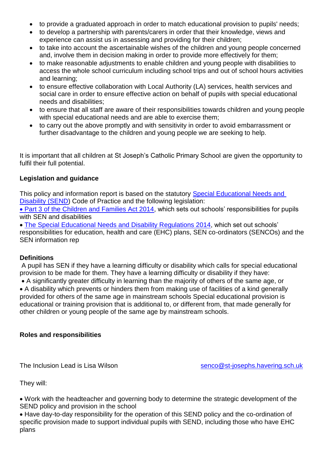- to provide a graduated approach in order to match educational provision to pupils' needs;
- to develop a partnership with parents/carers in order that their knowledge, views and experience can assist us in assessing and providing for their children;
- to take into account the ascertainable wishes of the children and young people concerned and, involve them in decision making in order to provide more effectively for them;
- to make reasonable adjustments to enable children and young people with disabilities to access the whole school curriculum including school trips and out of school hours activities and learning;
- to ensure effective collaboration with Local Authority (LA) services, health services and social care in order to ensure effective action on behalf of pupils with special educational needs and disabilities;
- to ensure that all staff are aware of their responsibilities towards children and young people with special educational needs and are able to exercise them;
- to carry out the above promptly and with sensitivity in order to avoid embarrassment or further disadvantage to the children and young people we are seeking to help.

It is important that all children at St Joseph's Catholic Primary School are given the opportunity to fulfil their full potential.

## **Legislation and guidance**

This policy and information report is based on the statutory Special Educational Needs and [Disability \(SEND\)](https://assets.publishing.service.gov.uk/government/uploads/system/uploads/attachment_data/file/398815/SEND_Code_of_Practice_January_2015.pdf) Code of Practice and the following legislation:

 [Part 3 of the Children and Families Act 2014,](https://www.legislation.gov.uk/ukpga/2014/6/part/3) which sets out schools' responsibilities for pupils with SEN and disabilities

 [The Special Educational Needs and Disability Regulations 2014,](https://www.legislation.gov.uk/uksi/2014/1530/contents/made) which set out schools' responsibilities for education, health and care (EHC) plans, SEN co-ordinators (SENCOs) and the SEN information rep

## **Definitions**

A pupil has SEN if they have a learning difficulty or disability which calls for special educational provision to be made for them. They have a learning difficulty or disability if they have:

A significantly greater difficulty in learning than the majority of others of the same age, or

 A disability which prevents or hinders them from making use of facilities of a kind generally provided for others of the same age in mainstream schools Special educational provision is educational or training provision that is additional to, or different from, that made generally for other children or young people of the same age by mainstream schools.

## **Roles and responsibilities**

The Inclusion Lead is Lisa Wilson [senco@st-josephs.havering.sch.uk](mailto:senco@st-josephs.havering.sch.uk)

They will:

 Work with the headteacher and governing body to determine the strategic development of the SEND policy and provision in the school

 Have day-to-day responsibility for the operation of this SEND policy and the co-ordination of specific provision made to support individual pupils with SEND, including those who have EHC plans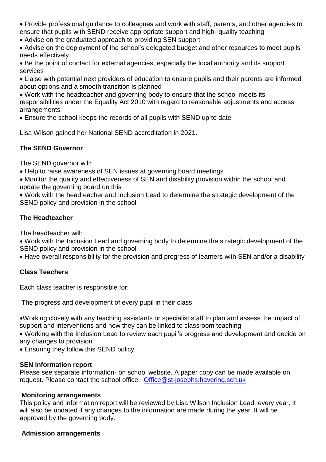- Provide professional guidance to colleagues and work with staff, parents, and other agencies to ensure that pupils with SEND receive appropriate support and high- quality teaching
- Advise on the graduated approach to providing SEN support
- Advise on the deployment of the school's delegated budget and other resources to meet pupils' needs effectively
- Be the point of contact for external agencies, especially the local authority and its support services
- Liaise with potential next providers of education to ensure pupils and their parents are informed about options and a smooth transition is planned
- Work with the headteacher and governing body to ensure that the school meets its responsibilities under the Equality Act 2010 with regard to reasonable adjustments and access arrangements
- Ensure the school keeps the records of all pupils with SEND up to date

Lisa Wilson gained her National SEND accreditation in 2021.

# **The SEND Governor**

The SEND governor will:

- Help to raise awareness of SEN issues at governing board meetings
- Monitor the quality and effectiveness of SEN and disability provision within the school and update the governing board on this
- Work with the headteacher and Inclusion Lead to determine the strategic development of the SEND policy and provision in the school

# **The Headteacher**

The headteacher will:

 Work with the Inclusion Lead and governing body to determine the strategic development of the SEND policy and provision in the school

Have overall responsibility for the provision and progress of learners with SEN and/or a disability

# **Class Teachers**

Each class teacher is responsible for:

The progress and development of every pupil in their class

Working closely with any teaching assistants or specialist staff to plan and assess the impact of support and interventions and how they can be linked to classroom teaching

 Working with the Inclusion Lead to review each pupil's progress and development and decide on any changes to provision

Ensuring they follow this SEND policy

# **SEN information report**

Please see separate information- on school website. A paper copy can be made available on request. Please contact the school office. [Office@st-josephs.havering.sch.uk](mailto:Office@st-josephs.havering.sch.uk)

# **Monitoring arrangements**

This policy and information report will be reviewed by Lisa Wilson Inclusion Lead, every year. It will also be updated if any changes to the information are made during the year. It will be approved by the governing body.

# **Admission arrangements**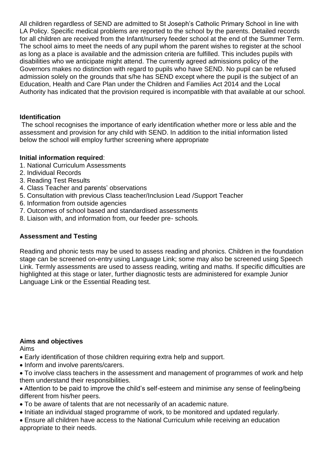All children regardless of SEND are admitted to St Joseph's Catholic Primary School in line with LA Policy. Specific medical problems are reported to the school by the parents. Detailed records for all children are received from the Infant/nursery feeder school at the end of the Summer Term. The school aims to meet the needs of any pupil whom the parent wishes to register at the school as long as a place is available and the admission criteria are fulfilled. This includes pupils with disabilities who we anticipate might attend. The currently agreed admissions policy of the Governors makes no distinction with regard to pupils who have SEND. No pupil can be refused admission solely on the grounds that s/he has SEND except where the pupil is the subject of an Education, Health and Care Plan under the Children and Families Act 2014 and the Local Authority has indicated that the provision required is incompatible with that available at our school.

## **Identification**

The school recognises the importance of early identification whether more or less able and the assessment and provision for any child with SEND. In addition to the initial information listed below the school will employ further screening where appropriate

## **Initial information required**:

- 1. National Curriculum Assessments
- 2. Individual Records
- 3. Reading Test Results
- 4. Class Teacher and parents' observations
- 5. Consultation with previous Class teacher/Inclusion Lead /Support Teacher
- 6. Information from outside agencies
- 7. Outcomes of school based and standardised assessments
- 8. Liaison with, and information from, our feeder pre- schools.

# **Assessment and Testing**

Reading and phonic tests may be used to assess reading and phonics. Children in the foundation stage can be screened on-entry using Language Link; some may also be screened using Speech Link. Termly assessments are used to assess reading, writing and maths. If specific difficulties are highlighted at this stage or later, further diagnostic tests are administered for example Junior Language Link or the Essential Reading test.

## **Aims and objectives**

Aims

- Early identification of those children requiring extra help and support.
- Inform and involve parents/carers.
- To involve class teachers in the assessment and management of programmes of work and help them understand their responsibilities.
- Attention to be paid to improve the child's self-esteem and minimise any sense of feeling/being different from his/her peers.
- To be aware of talents that are not necessarily of an academic nature.
- Initiate an individual staged programme of work, to be monitored and updated regularly.
- Ensure all children have access to the National Curriculum while receiving an education appropriate to their needs.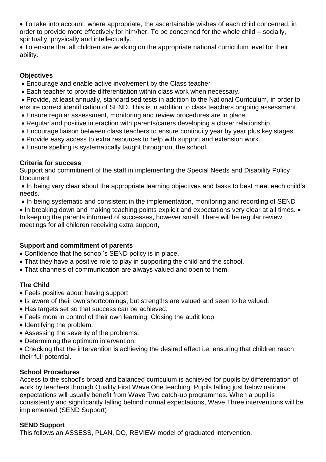To take into account, where appropriate, the ascertainable wishes of each child concerned, in order to provide more effectively for him/her. To be concerned for the whole child – socially, spiritually, physically and intellectually.

 To ensure that all children are working on the appropriate national curriculum level for their ability.

#### **Objectives**

- Encourage and enable active involvement by the Class teacher
- Each teacher to provide differentiation within class work when necessary.

 Provide, at least annually, standardised tests in addition to the National Curriculum, in order to ensure correct identification of SEND. This is in addition to class teachers ongoing assessment.

- Ensure regular assessment, monitoring and review procedures are in place.
- Regular and positive interaction with parents/carers developing a closer relationship.
- Encourage liaison between class teachers to ensure continuity year by year plus key stages.
- Provide easy access to extra resources to help with support and extension work.
- Ensure spelling is systematically taught throughout the school.

#### **Criteria for success**

Support and commitment of the staff in implementing the Special Needs and Disability Policy Document

• In being very clear about the appropriate learning objectives and tasks to best meet each child's needs.

• In being systematic and consistent in the implementation, monitoring and recording of SEND

• In breaking down and making teaching points explicit and expectations very clear at all times. • In keeping the parents informed of successes, however small. There will be regular review meetings for all children receiving extra support,

## **Support and commitment of parents**

- Confidence that the school's SEND policy is in place.
- That they have a positive role to play in supporting the child and the school.
- That channels of communication are always valued and open to them.

## **The Child**

- Feels positive about having support
- Is aware of their own shortcomings, but strengths are valued and seen to be valued.
- Has targets set so that success can be achieved.
- Feels more in control of their own learning. Closing the audit loop
- Identifying the problem.
- Assessing the severity of the problems.
- Determining the optimum intervention.

 Checking that the intervention is achieving the desired effect i.e. ensuring that children reach their full potential.

## **School Procedures**

Access to the school's broad and balanced curriculum is achieved for pupils by differentiation of work by teachers through Quality First Wave One teaching. Pupils falling just below national expectations will usually benefit from Wave Two catch-up programmes. When a pupil is consistently and significantly falling behind normal expectations, Wave Three interventions will be implemented (SEND Support)

## **SEND Support**

This follows an ASSESS, PLAN, DO, REVIEW model of graduated intervention.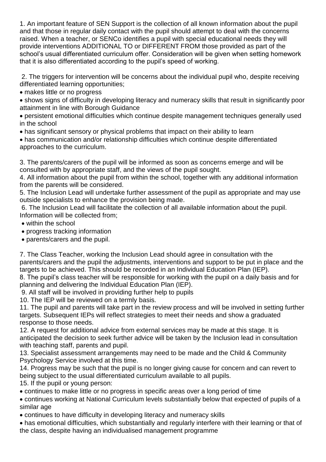1. An important feature of SEN Support is the collection of all known information about the pupil and that those in regular daily contact with the pupil should attempt to deal with the concerns raised. When a teacher, or SENCo identifies a pupil with special educational needs they will provide interventions ADDITIONAL TO or DIFFERENT FROM those provided as part of the school's usual differentiated curriculum offer. Consideration will be given when setting homework that it is also differentiated according to the pupil's speed of working.

2. The triggers for intervention will be concerns about the individual pupil who, despite receiving differentiated learning opportunities;

• makes little or no progress

 shows signs of difficulty in developing literacy and numeracy skills that result in significantly poor attainment in line with Borough Guidance

 persistent emotional difficulties which continue despite management techniques generally used in the school

has significant sensory or physical problems that impact on their ability to learn

 has communication and/or relationship difficulties which continue despite differentiated approaches to the curriculum.

3. The parents/carers of the pupil will be informed as soon as concerns emerge and will be consulted with by appropriate staff, and the views of the pupil sought.

4. All information about the pupil from within the school, together with any additional information from the parents will be considered.

5. The Inclusion Lead will undertake further assessment of the pupil as appropriate and may use outside specialists to enhance the provision being made.

6. The Inclusion Lead will facilitate the collection of all available information about the pupil. Information will be collected from;

- within the school
- progress tracking information
- parents/carers and the pupil.

7. The Class Teacher, working the Inclusion Lead should agree in consultation with the parents/carers and the pupil the adjustments, interventions and support to be put in place and the targets to be achieved. This should be recorded in an Individual Education Plan (IEP).

8. The pupil's class teacher will be responsible for working with the pupil on a daily basis and for planning and delivering the Individual Education Plan (IEP).

9. All staff will be involved in providing further help to pupils

10. The IEP will be reviewed on a termly basis.

11. The pupil and parents will take part in the review process and will be involved in setting further targets. Subsequent IEPs will reflect strategies to meet their needs and show a graduated response to those needs.

12. A request for additional advice from external services may be made at this stage. It is anticipated the decision to seek further advice will be taken by the Inclusion lead in consultation with teaching staff, parents and pupil.

13. Specialist assessment arrangements may need to be made and the Child & Community Psychology Service involved at this time.

14. Progress may be such that the pupil is no longer giving cause for concern and can revert to being subject to the usual differentiated curriculum available to all pupils.

15. If the pupil or young person:

continues to make little or no progress in specific areas over a long period of time

 continues working at National Curriculum levels substantially below that expected of pupils of a similar age

continues to have difficulty in developing literacy and numeracy skills

 has emotional difficulties, which substantially and regularly interfere with their learning or that of the class, despite having an individualised management programme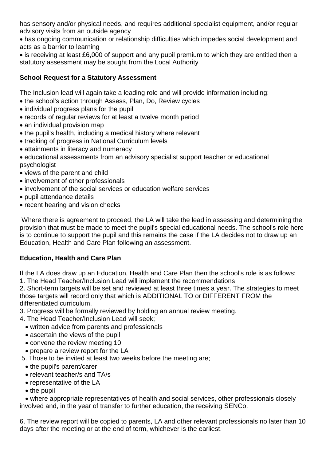has sensory and/or physical needs, and requires additional specialist equipment, and/or regular advisory visits from an outside agency

 has ongoing communication or relationship difficulties which impedes social development and acts as a barrier to learning

 is receiving at least £6,000 of support and any pupil premium to which they are entitled then a statutory assessment may be sought from the Local Authority

# **School Request for a Statutory Assessment**

The Inclusion lead will again take a leading role and will provide information including:

- the school's action through Assess, Plan, Do, Review cycles
- individual progress plans for the pupil
- records of regular reviews for at least a twelve month period
- an individual provision map
- the pupil's health, including a medical history where relevant
- tracking of progress in National Curriculum levels
- attainments in literacy and numeracy
- educational assessments from an advisory specialist support teacher or educational psychologist
- views of the parent and child
- involvement of other professionals
- involvement of the social services or education welfare services
- pupil attendance details
- recent hearing and vision checks

Where there is agreement to proceed, the LA will take the lead in assessing and determining the provision that must be made to meet the pupil's special educational needs. The school's role here is to continue to support the pupil and this remains the case if the LA decides not to draw up an Education, Health and Care Plan following an assessment.

## **Education, Health and Care Plan**

If the LA does draw up an Education, Health and Care Plan then the school's role is as follows: 1. The Head Teacher/Inclusion Lead will implement the recommendations

2. Short-term targets will be set and reviewed at least three times a year. The strategies to meet those targets will record only that which is ADDITIONAL TO or DIFFERENT FROM the differentiated curriculum.

- 3. Progress will be formally reviewed by holding an annual review meeting.
- 4. The Head Teacher/Inclusion Lead will seek;
	- written advice from parents and professionals
	- ascertain the views of the pupil
	- convene the review meeting 10
	- prepare a review report for the LA
- 5. Those to be invited at least two weeks before the meeting are;
	- the pupil's parent/carer
	- relevant teacher/s and TA/s
	- representative of the LA
	- $\bullet$  the pupil

 where appropriate representatives of health and social services, other professionals closely involved and, in the year of transfer to further education, the receiving SENCo.

6. The review report will be copied to parents, LA and other relevant professionals no later than 10 days after the meeting or at the end of term, whichever is the earliest.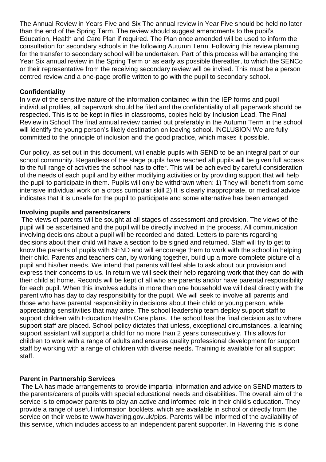The Annual Review in Years Five and Six The annual review in Year Five should be held no later than the end of the Spring Term. The review should suggest amendments to the pupil's Education, Health and Care Plan if required. The Plan once amended will be used to inform the consultation for secondary schools in the following Autumn Term. Following this review planning for the transfer to secondary school will be undertaken. Part of this process will be arranging the Year Six annual review in the Spring Term or as early as possible thereafter, to which the SENCo or their representative from the receiving secondary review will be invited. This must be a person centred review and a one-page profile written to go with the pupil to secondary school.

#### **Confidentiality**

In view of the sensitive nature of the information contained within the IEP forms and pupil individual profiles, all paperwork should be filed and the confidentiality of all paperwork should be respected. This is to be kept in files in classrooms, copies held by Inclusion Lead. The Final Review in School The final annual review carried out preferably in the Autumn Term in the school will identify the young person's likely destination on leaving school. INCLUSION We are fully committed to the principle of inclusion and the good practice, which makes it possible.

Our policy, as set out in this document, will enable pupils with SEND to be an integral part of our school community. Regardless of the stage pupils have reached all pupils will be given full access to the full range of activities the school has to offer. This will be achieved by careful consideration of the needs of each pupil and by either modifying activities or by providing support that will help the pupil to participate in them. Pupils will only be withdrawn when: 1) They will benefit from some intensive individual work on a cross curricular skill 2) It is clearly inappropriate, or medical advice indicates that it is unsafe for the pupil to participate and some alternative has been arranged

#### **Involving pupils and parents/carers**

The views of parents will be sought at all stages of assessment and provision. The views of the pupil will be ascertained and the pupil will be directly involved in the process. All communication involving decisions about a pupil will be recorded and dated. Letters to parents regarding decisions about their child will have a section to be signed and returned. Staff will try to get to know the parents of pupils with SEND and will encourage them to work with the school in helping their child. Parents and teachers can, by working together, build up a more complete picture of a pupil and his/her needs. We intend that parents will feel able to ask about our provision and express their concerns to us. In return we will seek their help regarding work that they can do with their child at home. Records will be kept of all who are parents and/or have parental responsibility for each pupil. When this involves adults in more than one household we will deal directly with the parent who has day to day responsibility for the pupil. We will seek to involve all parents and those who have parental responsibility in decisions about their child or young person, while appreciating sensitivities that may arise. The school leadership team deploy support staff to support children with Education Health Care plans. The school has the final decision as to where support staff are placed. School policy dictates that unless, exceptional circumstances, a learning support assistant will support a child for no more than 2 years consecutively. This allows for children to work with a range of adults and ensures quality professional development for support staff by working with a range of children with diverse needs. Training is available for all support staff.

## **Parent in Partnership Services**

The LA has made arrangements to provide impartial information and advice on SEND matters to the parents/carers of pupils with special educational needs and disabilities. The overall aim of the service is to empower parents to play an active and informed role in their child's education. They provide a range of useful information booklets, which are available in school or directly from the service on their website www.havering.gov.uk/pips. Parents will be informed of the availability of this service, which includes access to an independent parent supporter. In Havering this is done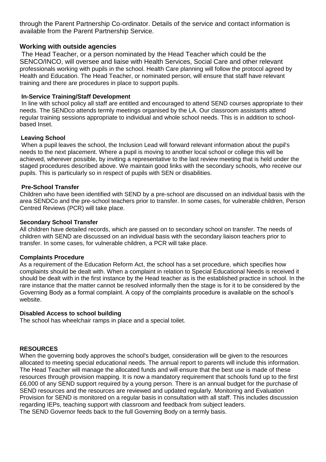through the Parent Partnership Co-ordinator. Details of the service and contact information is available from the Parent Partnership Service.

#### **Working with outside agencies**

The Head Teacher, or a person nominated by the Head Teacher which could be the SENCO/INCO, will oversee and liaise with Health Services, Social Care and other relevant professionals working with pupils in the school. Health Care planning will follow the protocol agreed by Health and Education. The Head Teacher, or nominated person, will ensure that staff have relevant training and there are procedures in place to support pupils.

#### **In-Service Training/Staff Development**

In line with school policy all staff are entitled and encouraged to attend SEND courses appropriate to their needs. The SENDco attends termly meetings organised by the LA. Our classroom assistants attend regular training sessions appropriate to individual and whole school needs. This is in addition to schoolbased Inset.

#### **Leaving School**

When a pupil leaves the school, the Inclusion Lead will forward relevant information about the pupil's needs to the next placement. Where a pupil is moving to another local school or college this will be achieved, wherever possible, by inviting a representative to the last review meeting that is held under the staged procedures described above. We maintain good links with the secondary schools, who receive our pupils. This is particularly so in respect of pupils with SEN or disabilities.

#### **Pre-School Transfer**

Children who have been identified with SEND by a pre-school are discussed on an individual basis with the area SENDCo and the pre-school teachers prior to transfer. In some cases, for vulnerable children, Person Centred Reviews (PCR) will take place.

#### **Secondary School Transfer**

All children have detailed records, which are passed on to secondary school on transfer. The needs of children with SEND are discussed on an individual basis with the secondary liaison teachers prior to transfer. In some cases, for vulnerable children, a PCR will take place.

#### **Complaints Procedure**

As a requirement of the Education Reform Act, the school has a set procedure, which specifies how complaints should be dealt with. When a complaint in relation to Special Educational Needs is received it should be dealt with in the first instance by the Head teacher as is the established practice in school. In the rare instance that the matter cannot be resolved informally then the stage is for it to be considered by the Governing Body as a formal complaint. A copy of the complaints procedure is available on the school's website.

#### **Disabled Access to school building**

The school has wheelchair ramps in place and a special toilet.

#### **RESOURCES**

When the governing body approves the school's budget, consideration will be given to the resources allocated to meeting special educational needs. The annual report to parents will include this information. The Head Teacher will manage the allocated funds and will ensure that the best use is made of these resources through provision mapping. It is now a mandatory requirement that schools fund up to the first £6,000 of any SEND support required by a young person. There is an annual budget for the purchase of SEND resources and the resources are reviewed and updated regularly. Monitoring and Evaluation Provision for SEND is monitored on a regular basis in consultation with all staff. This includes discussion regarding IEPs, teaching support with classroom and feedback from subject leaders. The SEND Governor feeds back to the full Governing Body on a termly basis.